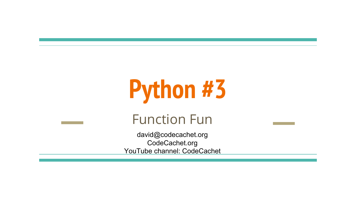# **Python #3**

#### Function Fun

david@codecachet.org CodeCachet.org YouTube channel: CodeCachet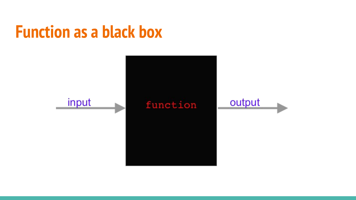#### **Function as a black box**

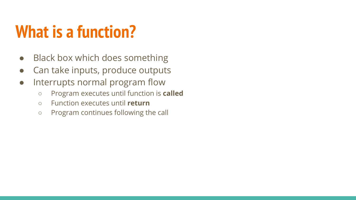### **What is a function?**

- Black box which does something
- Can take inputs, produce outputs
- Interrupts normal program flow
	- Program executes until function is **called**
	- Function executes until **return**
	- Program continues following the call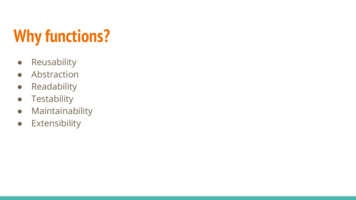## **Why functions?**

- Reusability
- Abstraction
- Readability
- **•** Testability
- Maintainability
- Extensibility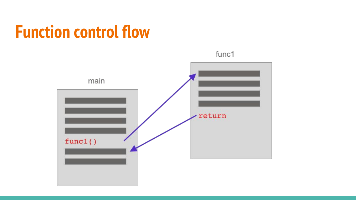#### **Function control flow**



func1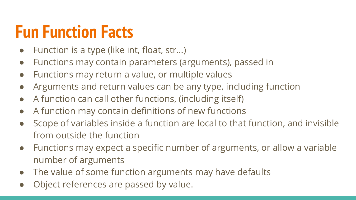#### **Fun Function Facts**

- Function is a type (like int, float, str...)
- Functions may contain parameters (arguments), passed in
- Functions may return a value, or multiple values
- Arguments and return values can be any type, including function
- A function can call other functions, (including itself)
- A function may contain definitions of new functions
- Scope of variables inside a function are local to that function, and invisible from outside the function
- Functions may expect a specific number of arguments, or allow a variable number of arguments
- The value of some function arguments may have defaults
- Object references are passed by value.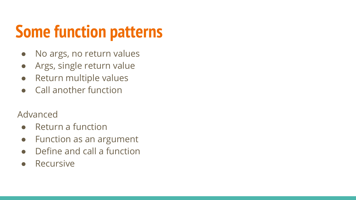### **Some function patterns**

- No args, no return values
- Args, single return value
- Return multiple values
- Call another function

#### Advanced

- Return a function
- Function as an argument
- Define and call a function
- **Recursive**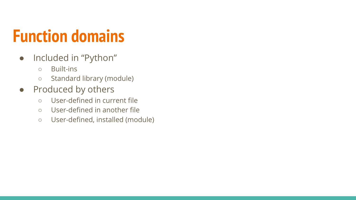### **Function domains**

- Included in "Python"
	- Built-ins
	- Standard library (module)
- Produced by others
	- User-defined in current file
	- User-defined in another file
	- User-defined, installed (module)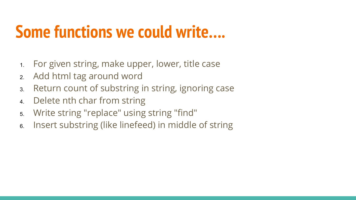#### **Some functions we could write….**

- 1. For given string, make upper, lower, title case
- 2. Add html tag around word
- 3. Return count of substring in string, ignoring case
- 4. Delete nth char from string
- 5. Write string "replace" using string "find"
- 6. Insert substring (like linefeed) in middle of string